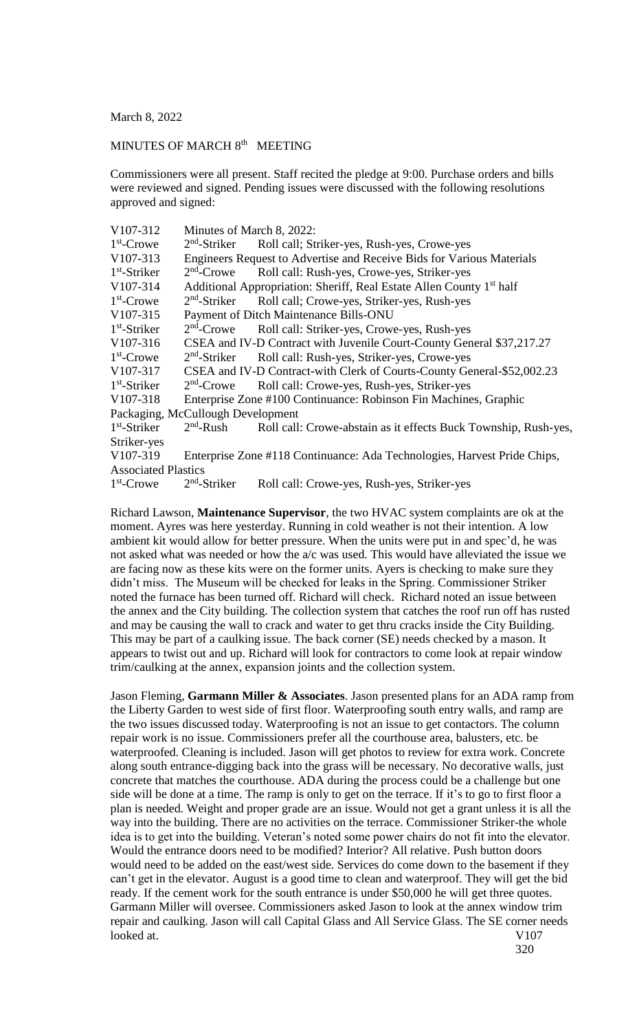March 8, 2022

## MINUTES OF MARCH 8<sup>th</sup> MEETING

Commissioners were all present. Staff recited the pledge at 9:00. Purchase orders and bills were reviewed and signed. Pending issues were discussed with the following resolutions approved and signed:

| V107-312                          | Minutes of March 8, 2022:                                                        |                                                                          |  |
|-----------------------------------|----------------------------------------------------------------------------------|--------------------------------------------------------------------------|--|
| $1st$ -Crowe                      | $2nd$ -Striker                                                                   | Roll call; Striker-yes, Rush-yes, Crowe-yes                              |  |
| V107-313                          | Engineers Request to Advertise and Receive Bids for Various Materials            |                                                                          |  |
| $1st$ -Striker                    | $2nd$ -Crowe                                                                     | Roll call: Rush-yes, Crowe-yes, Striker-yes                              |  |
| V107-314                          | Additional Appropriation: Sheriff, Real Estate Allen County 1 <sup>st</sup> half |                                                                          |  |
| $1st$ -Crowe                      | $2nd$ -Striker                                                                   | Roll call; Crowe-yes, Striker-yes, Rush-yes                              |  |
| V107-315                          | Payment of Ditch Maintenance Bills-ONU                                           |                                                                          |  |
| $1st$ -Striker                    | $2nd$ -Crowe                                                                     | Roll call: Striker-yes, Crowe-yes, Rush-yes                              |  |
| V107-316                          |                                                                                  | CSEA and IV-D Contract with Juvenile Court-County General \$37,217.27    |  |
| $1st$ -Crowe                      | $2nd$ -Striker                                                                   | Roll call: Rush-yes, Striker-yes, Crowe-yes                              |  |
| V107-317                          |                                                                                  | CSEA and IV-D Contract-with Clerk of Courts-County General-\$52,002.23   |  |
| $1st$ -Striker                    | $2nd$ -Crowe                                                                     | Roll call: Crowe-yes, Rush-yes, Striker-yes                              |  |
| V <sub>107</sub> -318             |                                                                                  | Enterprise Zone #100 Continuance: Robinson Fin Machines, Graphic         |  |
| Packaging, McCullough Development |                                                                                  |                                                                          |  |
| $1st$ -Striker                    | $2nd$ -Rush                                                                      | Roll call: Crowe-abstain as it effects Buck Township, Rush-yes,          |  |
| Striker-yes                       |                                                                                  |                                                                          |  |
| V107-319                          |                                                                                  | Enterprise Zone #118 Continuance: Ada Technologies, Harvest Pride Chips, |  |
| <b>Associated Plastics</b>        |                                                                                  |                                                                          |  |
| $1st$ -Crowe                      | $2nd$ -Striker                                                                   | Roll call: Crowe-yes, Rush-yes, Striker-yes                              |  |
|                                   |                                                                                  |                                                                          |  |

Richard Lawson, **Maintenance Supervisor**, the two HVAC system complaints are ok at the moment. Ayres was here yesterday. Running in cold weather is not their intention. A low ambient kit would allow for better pressure. When the units were put in and spec'd, he was not asked what was needed or how the a/c was used. This would have alleviated the issue we are facing now as these kits were on the former units. Ayers is checking to make sure they didn't miss. The Museum will be checked for leaks in the Spring. Commissioner Striker noted the furnace has been turned off. Richard will check. Richard noted an issue between the annex and the City building. The collection system that catches the roof run off has rusted and may be causing the wall to crack and water to get thru cracks inside the City Building. This may be part of a caulking issue. The back corner (SE) needs checked by a mason. It appears to twist out and up. Richard will look for contractors to come look at repair window trim/caulking at the annex, expansion joints and the collection system.

Jason Fleming, **Garmann Miller & Associates**. Jason presented plans for an ADA ramp from the Liberty Garden to west side of first floor. Waterproofing south entry walls, and ramp are the two issues discussed today. Waterproofing is not an issue to get contactors. The column repair work is no issue. Commissioners prefer all the courthouse area, balusters, etc. be waterproofed. Cleaning is included. Jason will get photos to review for extra work. Concrete along south entrance-digging back into the grass will be necessary. No decorative walls, just concrete that matches the courthouse. ADA during the process could be a challenge but one side will be done at a time. The ramp is only to get on the terrace. If it's to go to first floor a plan is needed. Weight and proper grade are an issue. Would not get a grant unless it is all the way into the building. There are no activities on the terrace. Commissioner Striker-the whole idea is to get into the building. Veteran's noted some power chairs do not fit into the elevator. Would the entrance doors need to be modified? Interior? All relative. Push button doors would need to be added on the east/west side. Services do come down to the basement if they can't get in the elevator. August is a good time to clean and waterproof. They will get the bid ready. If the cement work for the south entrance is under \$50,000 he will get three quotes. Garmann Miller will oversee. Commissioners asked Jason to look at the annex window trim repair and caulking. Jason will call Capital Glass and All Service Glass. The SE corner needs looked at. V107